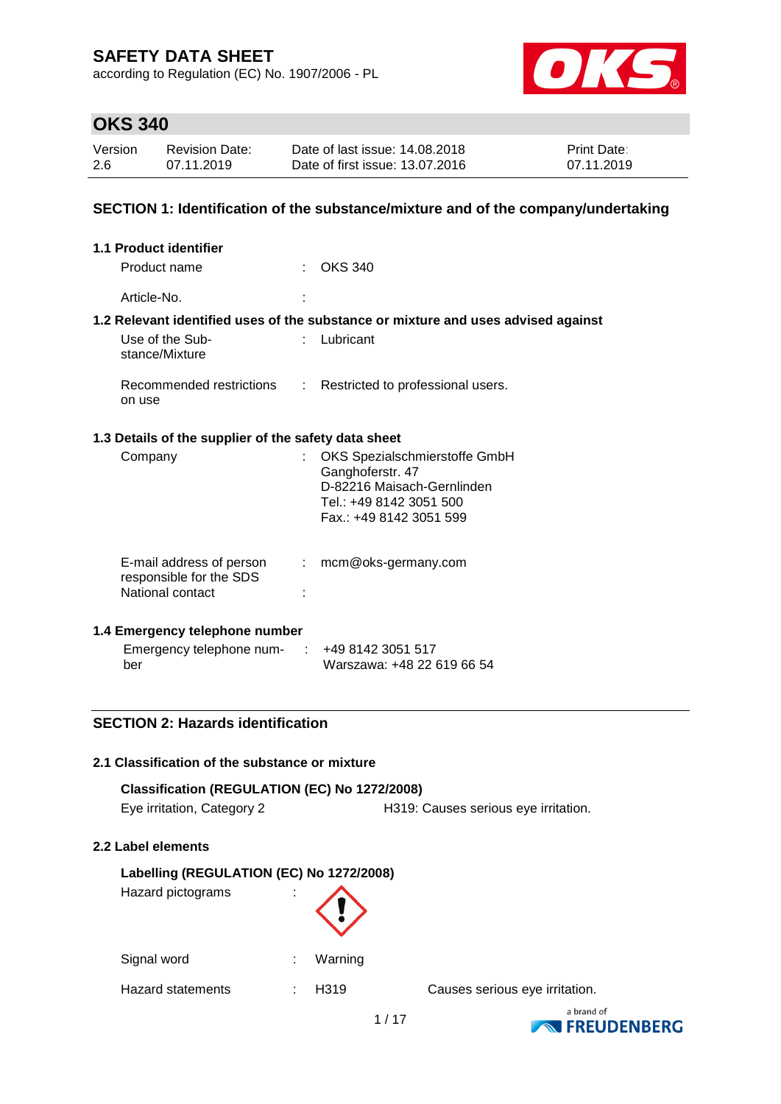according to Regulation (EC) No. 1907/2006 - PL



## **OKS 340**

| Version | <b>Revision Date:</b> | Date of last issue: 14,08,2018  | <b>Print Date:</b> |
|---------|-----------------------|---------------------------------|--------------------|
| 2.6     | 07.11.2019            | Date of first issue: 13.07.2016 | 07.11.2019         |

### **SECTION 1: Identification of the substance/mixture and of the company/undertaking**

| <b>1.1 Product identifier</b>                                           |    |                                                                                                                                       |
|-------------------------------------------------------------------------|----|---------------------------------------------------------------------------------------------------------------------------------------|
| Product name                                                            |    | <b>OKS 340</b>                                                                                                                        |
| Article-No.                                                             |    |                                                                                                                                       |
|                                                                         |    | 1.2 Relevant identified uses of the substance or mixture and uses advised against                                                     |
| Use of the Sub-<br>stance/Mixture                                       |    | Lubricant                                                                                                                             |
| Recommended restrictions<br>on use                                      | ÷. | Restricted to professional users.                                                                                                     |
| 1.3 Details of the supplier of the safety data sheet                    |    |                                                                                                                                       |
| Company                                                                 |    | OKS Spezialschmierstoffe GmbH<br>Ganghoferstr. 47<br>D-82216 Maisach-Gernlinden<br>Tel.: +49 8142 3051 500<br>Fax.: +49 8142 3051 599 |
| E-mail address of person<br>responsible for the SDS<br>National contact |    | mcm@oks-germany.com                                                                                                                   |

### **1.4 Emergency telephone number**

| Emergency telephone num- | +49 8142 3051 517          |
|--------------------------|----------------------------|
| ber                      | Warszawa: +48 22 619 66 54 |

### **SECTION 2: Hazards identification**

#### **2.1 Classification of the substance or mixture**

| Classification (REGULATION (EC) No 1272/2008) |                                      |
|-----------------------------------------------|--------------------------------------|
| Eye irritation, Category 2                    | H319: Causes serious eye irritation. |

#### **2.2 Label elements**

#### **Labelling (REGULATION (EC) No 1272/2008)**

Hazard pictograms :



Signal word : Warning

Hazard statements : H319 Causes serious eye irritation.

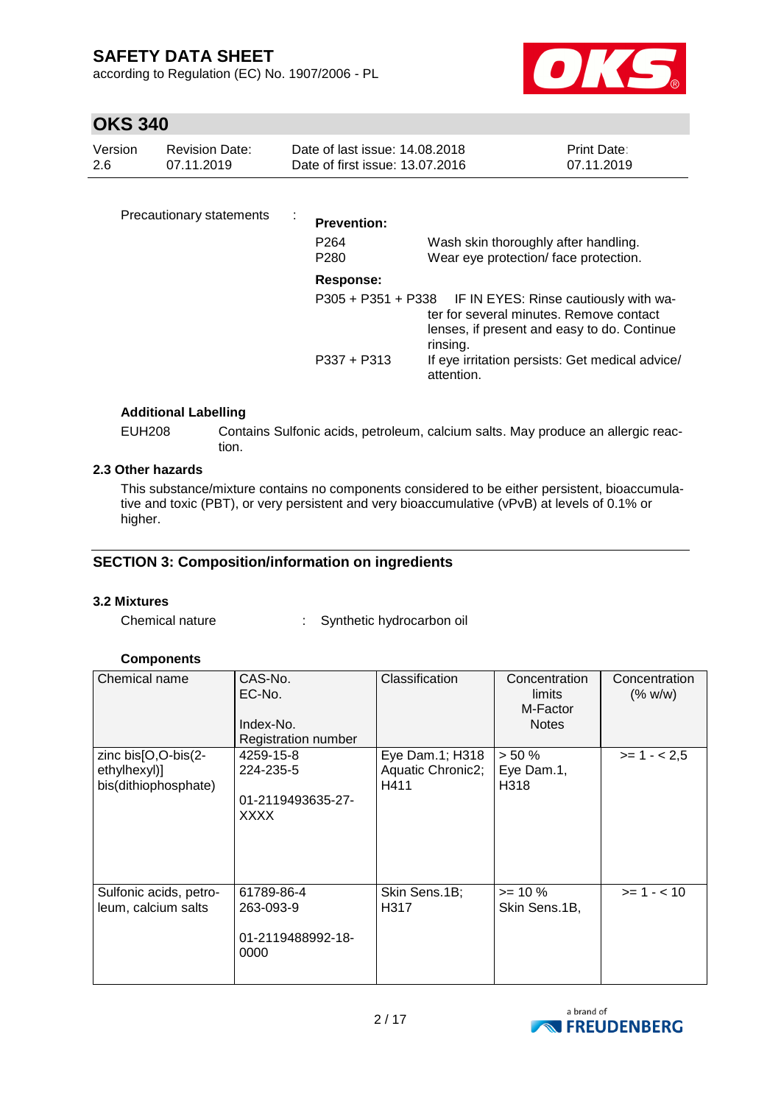according to Regulation (EC) No. 1907/2006 - PL



# **OKS 340**

| Version | Revision Date: | Date of last issue: 14.08.2018  | <b>Print Date:</b> |
|---------|----------------|---------------------------------|--------------------|
| -2.6    | 07.11.2019     | Date of first issue: 13.07.2016 | 07.11.2019         |
|         |                |                                 |                    |

| Precautionary statements | <b>Prevention:</b><br>P <sub>264</sub><br>P <sub>280</sub> | Wash skin thoroughly after handling.<br>Wear eye protection/face protection.                                                                                                                                                    |
|--------------------------|------------------------------------------------------------|---------------------------------------------------------------------------------------------------------------------------------------------------------------------------------------------------------------------------------|
|                          | Response:<br>$P337 + P313$                                 | P305 + P351 + P338 IF IN EYES: Rinse cautiously with wa-<br>ter for several minutes. Remove contact<br>lenses, if present and easy to do. Continue<br>rinsing.<br>If eye irritation persists: Get medical advice/<br>attention. |

### **Additional Labelling**

EUH208 Contains Sulfonic acids, petroleum, calcium salts. May produce an allergic reaction.

### **2.3 Other hazards**

This substance/mixture contains no components considered to be either persistent, bioaccumulative and toxic (PBT), or very persistent and very bioaccumulative (vPvB) at levels of 0.1% or higher.

### **SECTION 3: Composition/information on ingredients**

#### **3.2 Mixtures**

Chemical nature : Synthetic hydrocarbon oil

### **Components**

| Chemical name                                               | CAS-No.<br>EC-No.<br>Index-No.<br>Registration number      | Classification                               | Concentration<br>limits<br>M-Factor<br><b>Notes</b> | Concentration<br>(% w/w) |
|-------------------------------------------------------------|------------------------------------------------------------|----------------------------------------------|-----------------------------------------------------|--------------------------|
| zinc bis[O,O-bis(2-<br>ethylhexyl)]<br>bis(dithiophosphate) | 4259-15-8<br>224-235-5<br>01-2119493635-27-<br><b>XXXX</b> | Eye Dam.1; H318<br>Aquatic Chronic2;<br>H411 | $> 50 \%$<br>Eye Dam.1,<br>H318                     | $>= 1 - 2.5$             |
| Sulfonic acids, petro-<br>leum, calcium salts               | 61789-86-4<br>263-093-9<br>01-2119488992-18-<br>0000       | Skin Sens.1B;<br>H317                        | $>= 10 \%$<br>Skin Sens.1B,                         | $>= 1 - < 10$            |

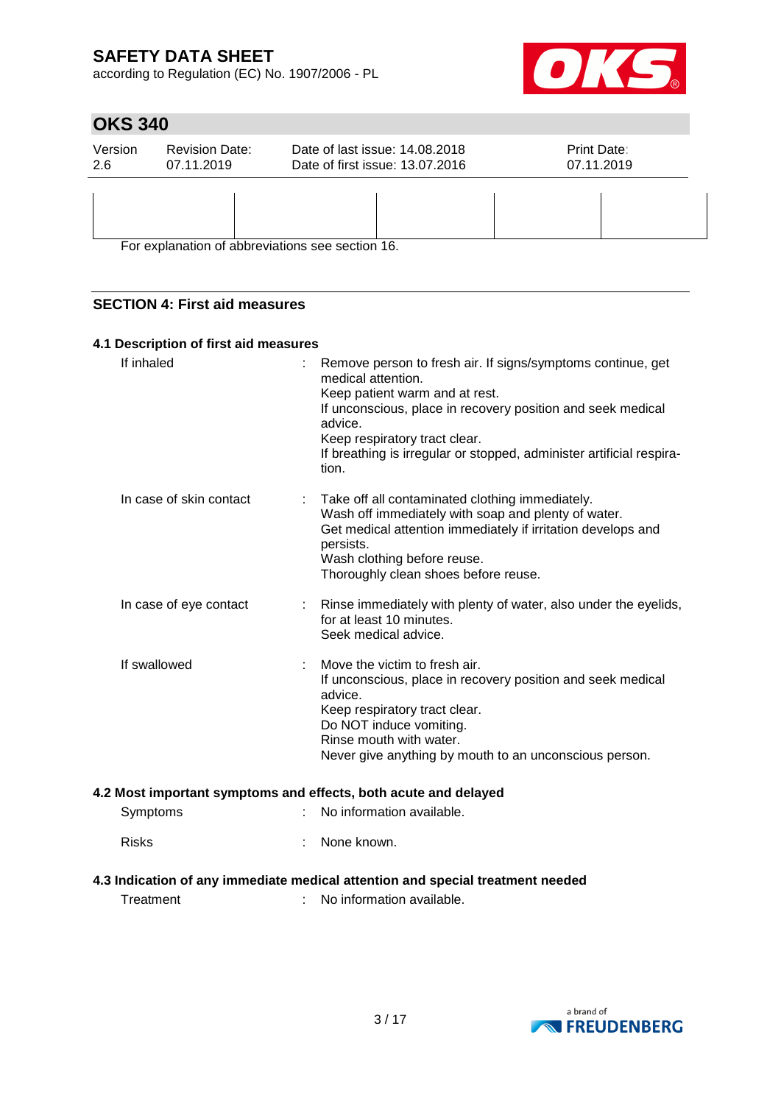according to Regulation (EC) No. 1907/2006 - PL



# **OKS 340**

| Version<br>2.6 | <b>Revision Date:</b><br>07.11.2019 | Date of last issue: 14,08,2018<br>Date of first issue: 13.07.2016 | Print Date:<br>07.11.2019 |
|----------------|-------------------------------------|-------------------------------------------------------------------|---------------------------|
|                |                                     |                                                                   |                           |
|                |                                     | For explanation of abbreviations see section 16.                  |                           |

For explanation of abbreviations see section 16.

### **SECTION 4: First aid measures**

### **4.1 Description of first aid measures**

| If inhaled              |   | Remove person to fresh air. If signs/symptoms continue, get<br>medical attention.<br>Keep patient warm and at rest.              |
|-------------------------|---|----------------------------------------------------------------------------------------------------------------------------------|
|                         |   | If unconscious, place in recovery position and seek medical<br>advice.                                                           |
|                         |   | Keep respiratory tract clear.                                                                                                    |
|                         |   | If breathing is irregular or stopped, administer artificial respira-<br>tion.                                                    |
| In case of skin contact |   | Take off all contaminated clothing immediately.                                                                                  |
|                         |   | Wash off immediately with soap and plenty of water.<br>Get medical attention immediately if irritation develops and<br>persists. |
|                         |   | Wash clothing before reuse.                                                                                                      |
|                         |   | Thoroughly clean shoes before reuse.                                                                                             |
| In case of eye contact  | ÷ | Rinse immediately with plenty of water, also under the eyelids,                                                                  |
|                         |   | for at least 10 minutes.<br>Seek medical advice.                                                                                 |
|                         |   |                                                                                                                                  |
| If swallowed            |   | Move the victim to fresh air.                                                                                                    |
|                         |   | If unconscious, place in recovery position and seek medical<br>advice.                                                           |
|                         |   | Keep respiratory tract clear.                                                                                                    |
|                         |   | Do NOT induce vomiting.                                                                                                          |
|                         |   | Rinse mouth with water.                                                                                                          |
|                         |   | Never give anything by mouth to an unconscious person.                                                                           |
|                         |   | 4.2 Most important symptoms and effects, both acute and delayed                                                                  |
| Symptoms                |   | No information available.                                                                                                        |
| <b>Risks</b>            |   | None known.                                                                                                                      |
|                         |   | 4.3 Indication of any immediate medical attention and special treatment needed                                                   |
|                         |   |                                                                                                                                  |

Treatment : No information available.

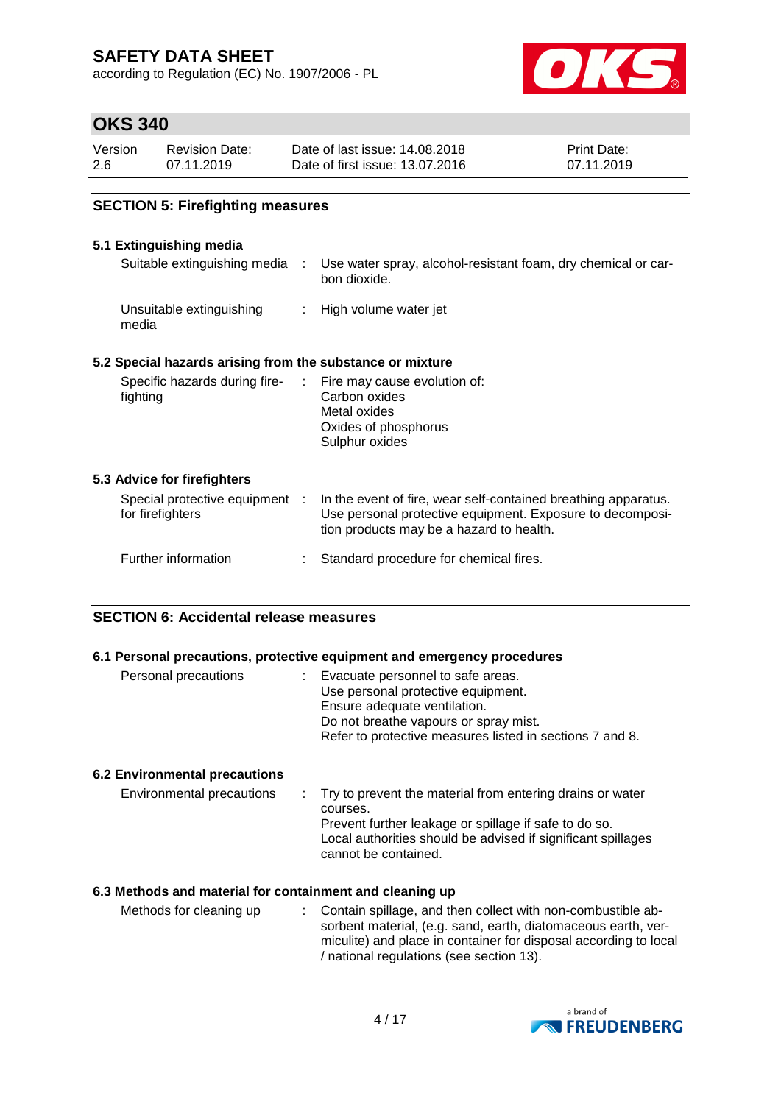according to Regulation (EC) No. 1907/2006 - PL



## **OKS 340**

| Version | <b>Revision Date:</b> | Date of last issue: 14.08.2018  | <b>Print Date:</b> |
|---------|-----------------------|---------------------------------|--------------------|
| 2.6     | 07.11.2019            | Date of first issue: 13.07.2016 | 07.11.2019         |

### **SECTION 5: Firefighting measures**

### **5.1 Extinguishing media**

| Suitable extinguishing media :                            |                            | Use water spray, alcohol-resistant foam, dry chemical or car-<br>bon dioxide.                                                                                           |
|-----------------------------------------------------------|----------------------------|-------------------------------------------------------------------------------------------------------------------------------------------------------------------------|
| Unsuitable extinguishing<br>media                         | $\mathcal{L}^{\text{max}}$ | High volume water jet                                                                                                                                                   |
| 5.2 Special hazards arising from the substance or mixture |                            |                                                                                                                                                                         |
| Specific hazards during fire-<br>fighting                 |                            | : Fire may cause evolution of:<br>Carbon oxides<br>Metal oxides<br>Oxides of phosphorus<br>Sulphur oxides                                                               |
| 5.3 Advice for firefighters                               |                            |                                                                                                                                                                         |
| Special protective equipment :<br>for firefighters        |                            | In the event of fire, wear self-contained breathing apparatus.<br>Use personal protective equipment. Exposure to decomposi-<br>tion products may be a hazard to health. |
| Further information                                       |                            | Standard procedure for chemical fires.                                                                                                                                  |
|                                                           |                            |                                                                                                                                                                         |

### **SECTION 6: Accidental release measures**

#### **6.1 Personal precautions, protective equipment and emergency procedures**

| Personal precautions | : Evacuate personnel to safe areas.<br>Use personal protective equipment.<br>Ensure adequate ventilation.<br>Do not breathe vapours or spray mist. |
|----------------------|----------------------------------------------------------------------------------------------------------------------------------------------------|
|                      | Refer to protective measures listed in sections 7 and 8.                                                                                           |

#### **6.2 Environmental precautions**

| Environmental precautions | . Try to prevent the material from entering drains or water<br>courses.<br>Prevent further leakage or spillage if safe to do so.<br>Local authorities should be advised if significant spillages<br>cannot be contained. |
|---------------------------|--------------------------------------------------------------------------------------------------------------------------------------------------------------------------------------------------------------------------|
|                           |                                                                                                                                                                                                                          |

### **6.3 Methods and material for containment and cleaning up**

| Methods for cleaning up | : Contain spillage, and then collect with non-combustible ab-    |
|-------------------------|------------------------------------------------------------------|
|                         | sorbent material, (e.g. sand, earth, diatomaceous earth, ver-    |
|                         | miculite) and place in container for disposal according to local |
|                         | / national regulations (see section 13).                         |

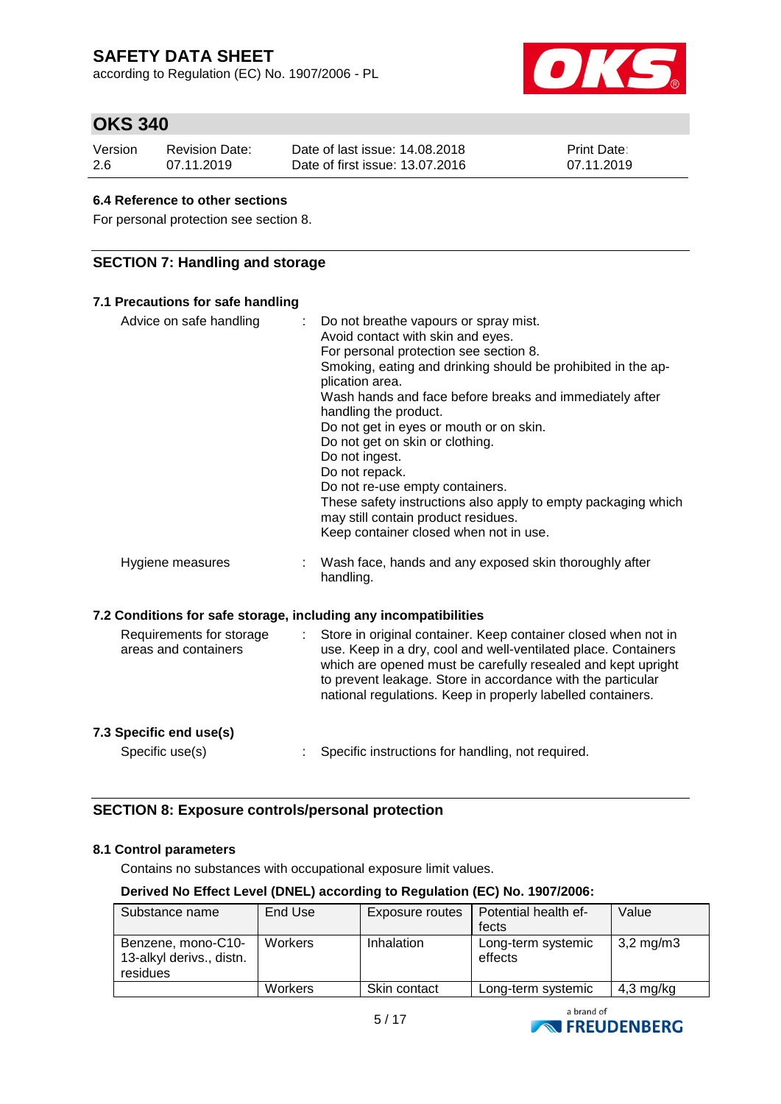according to Regulation (EC) No. 1907/2006 - PL



## **OKS 340**

| Version | Revision Date: | Date of last issue: 14.08.2018  | <b>Print Date:</b> |
|---------|----------------|---------------------------------|--------------------|
| -2.6    | 07.11.2019     | Date of first issue: 13.07.2016 | 07.11.2019         |

### **6.4 Reference to other sections**

For personal protection see section 8.

### **SECTION 7: Handling and storage**

| 7.1 Precautions for safe handling                                             |                                                                                                                                                                                                                                                                                                                                                                                                                                                                                                                                                                                                    |
|-------------------------------------------------------------------------------|----------------------------------------------------------------------------------------------------------------------------------------------------------------------------------------------------------------------------------------------------------------------------------------------------------------------------------------------------------------------------------------------------------------------------------------------------------------------------------------------------------------------------------------------------------------------------------------------------|
| Advice on safe handling<br>÷                                                  | Do not breathe vapours or spray mist.<br>Avoid contact with skin and eyes.<br>For personal protection see section 8.<br>Smoking, eating and drinking should be prohibited in the ap-<br>plication area.<br>Wash hands and face before breaks and immediately after<br>handling the product.<br>Do not get in eyes or mouth or on skin.<br>Do not get on skin or clothing.<br>Do not ingest.<br>Do not repack.<br>Do not re-use empty containers.<br>These safety instructions also apply to empty packaging which<br>may still contain product residues.<br>Keep container closed when not in use. |
| Hygiene measures                                                              | Wash face, hands and any exposed skin thoroughly after<br>handling.                                                                                                                                                                                                                                                                                                                                                                                                                                                                                                                                |
| 7.2 Conditions for safe storage, including any incompatibilities              |                                                                                                                                                                                                                                                                                                                                                                                                                                                                                                                                                                                                    |
| Requirements for storage<br>$\mathbb{R}^{\mathbb{Z}}$<br>areas and containers | Store in original container. Keep container closed when not in<br>use. Keep in a dry, cool and well-ventilated place. Containers<br>which are opened must be carefully resealed and kept upright<br>to prevent leakage. Store in accordance with the particular<br>national regulations. Keep in properly labelled containers.                                                                                                                                                                                                                                                                     |
| 7.3 Specific end use(s)                                                       |                                                                                                                                                                                                                                                                                                                                                                                                                                                                                                                                                                                                    |

Specific use(s) : Specific instructions for handling, not required.

### **SECTION 8: Exposure controls/personal protection**

#### **8.1 Control parameters**

Contains no substances with occupational exposure limit values.

#### **Derived No Effect Level (DNEL) according to Regulation (EC) No. 1907/2006:**

| Substance name                                             | End Use        | Exposure routes | Potential health ef-          | Value                 |
|------------------------------------------------------------|----------------|-----------------|-------------------------------|-----------------------|
|                                                            |                |                 | fects                         |                       |
| Benzene, mono-C10-<br>13-alkyl derivs., distn.<br>residues | <b>Workers</b> | Inhalation      | Long-term systemic<br>effects | $3,2 \,\mathrm{mg/m}$ |
|                                                            | <b>Workers</b> | Skin contact    | Long-term systemic            | $4,3$ mg/kg           |

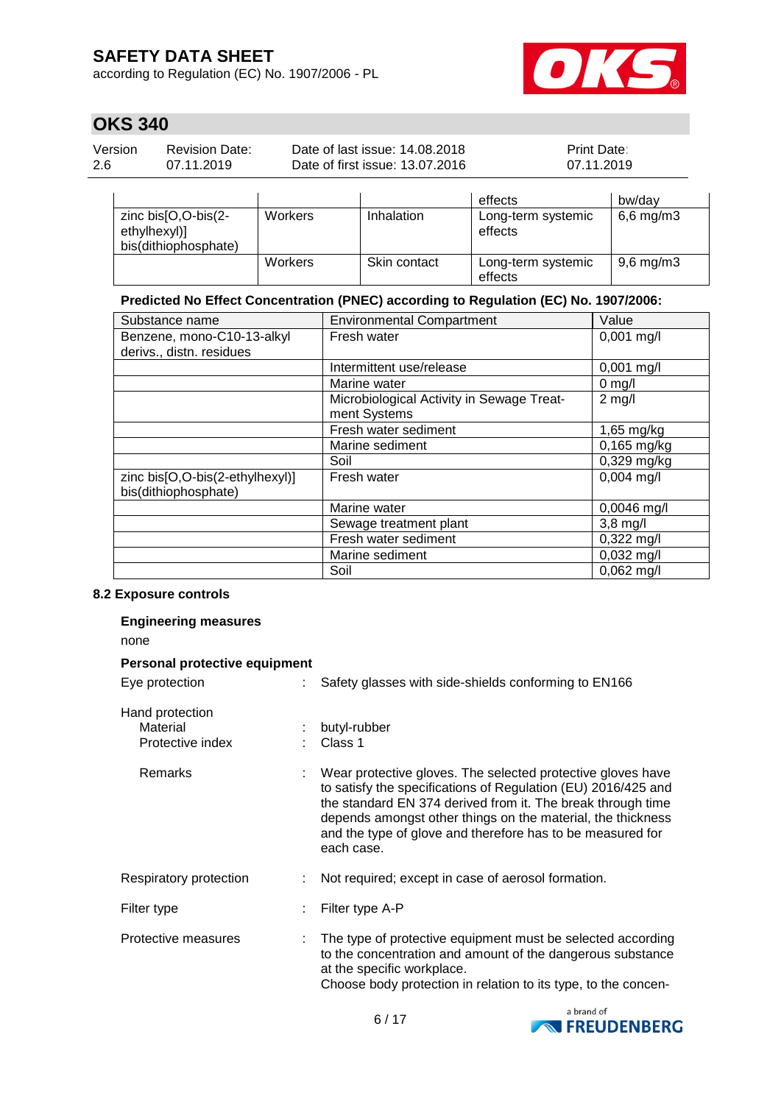according to Regulation (EC) No. 1907/2006 - PL



# **OKS 340**

| Version | <b>Revision Date:</b> | Date of last issue: 14.08.2018  | <b>Print Date:</b> |
|---------|-----------------------|---------------------------------|--------------------|
| 2.6     | 07.11.2019            | Date of first issue: 13.07.2016 | 07.11.2019         |
|         |                       |                                 |                    |

|                                                               |                |              | effects                       | bw/dav         |
|---------------------------------------------------------------|----------------|--------------|-------------------------------|----------------|
| zinc $bis[O,O-bis(2-$<br>ethylhexyl)]<br>bis(dithiophosphate) | Workers        | Inhalation   | Long-term systemic<br>effects | $6,6$ mg/m $3$ |
|                                                               | <b>Workers</b> | Skin contact | Long-term systemic<br>effects | $9,6$ mg/m $3$ |

### **Predicted No Effect Concentration (PNEC) according to Regulation (EC) No. 1907/2006:**

| Substance name                  | <b>Environmental Compartment</b>          | Value                |
|---------------------------------|-------------------------------------------|----------------------|
| Benzene, mono-C10-13-alkyl      | Fresh water                               | $0,001$ mg/l         |
| derivs., distn. residues        |                                           |                      |
|                                 | Intermittent use/release                  | $0,001 \text{ mg/l}$ |
|                                 | Marine water                              | $0$ mg/l             |
|                                 | Microbiological Activity in Sewage Treat- | $2$ mg/l             |
|                                 | ment Systems                              |                      |
|                                 | Fresh water sediment                      | 1,65 mg/kg           |
|                                 | Marine sediment                           | $0,165$ mg/kg        |
|                                 | Soil                                      | $0,329$ mg/kg        |
| zinc bis[O,O-bis(2-ethylhexyl)] | Fresh water                               | $0,004$ mg/l         |
| bis(dithiophosphate)            |                                           |                      |
|                                 | Marine water                              | $0,0046$ mg/l        |
|                                 | Sewage treatment plant                    | $3,8$ mg/l           |
|                                 | Fresh water sediment                      | $0,322 \text{ mg/l}$ |
|                                 | Marine sediment                           | $0,032$ mg/l         |
|                                 | Soil                                      | $0,062$ mg/l         |

### **8.2 Exposure controls**

| <b>Engineering measures</b><br>none             |                               |                                                                                                                                                                                                                                                                                                                                        |
|-------------------------------------------------|-------------------------------|----------------------------------------------------------------------------------------------------------------------------------------------------------------------------------------------------------------------------------------------------------------------------------------------------------------------------------------|
|                                                 | Personal protective equipment |                                                                                                                                                                                                                                                                                                                                        |
| Eye protection                                  |                               | Safety glasses with side-shields conforming to EN166                                                                                                                                                                                                                                                                                   |
| Hand protection<br>Material<br>Protective index |                               | butyl-rubber<br>Class 1                                                                                                                                                                                                                                                                                                                |
| Remarks                                         |                               | Wear protective gloves. The selected protective gloves have<br>to satisfy the specifications of Regulation (EU) 2016/425 and<br>the standard EN 374 derived from it. The break through time<br>depends amongst other things on the material, the thickness<br>and the type of glove and therefore has to be measured for<br>each case. |
| Respiratory protection                          |                               | Not required; except in case of aerosol formation.                                                                                                                                                                                                                                                                                     |
| Filter type                                     |                               | Filter type A-P                                                                                                                                                                                                                                                                                                                        |
| Protective measures                             |                               | The type of protective equipment must be selected according<br>to the concentration and amount of the dangerous substance<br>at the specific workplace.<br>Choose body protection in relation to its type, to the concen-                                                                                                              |

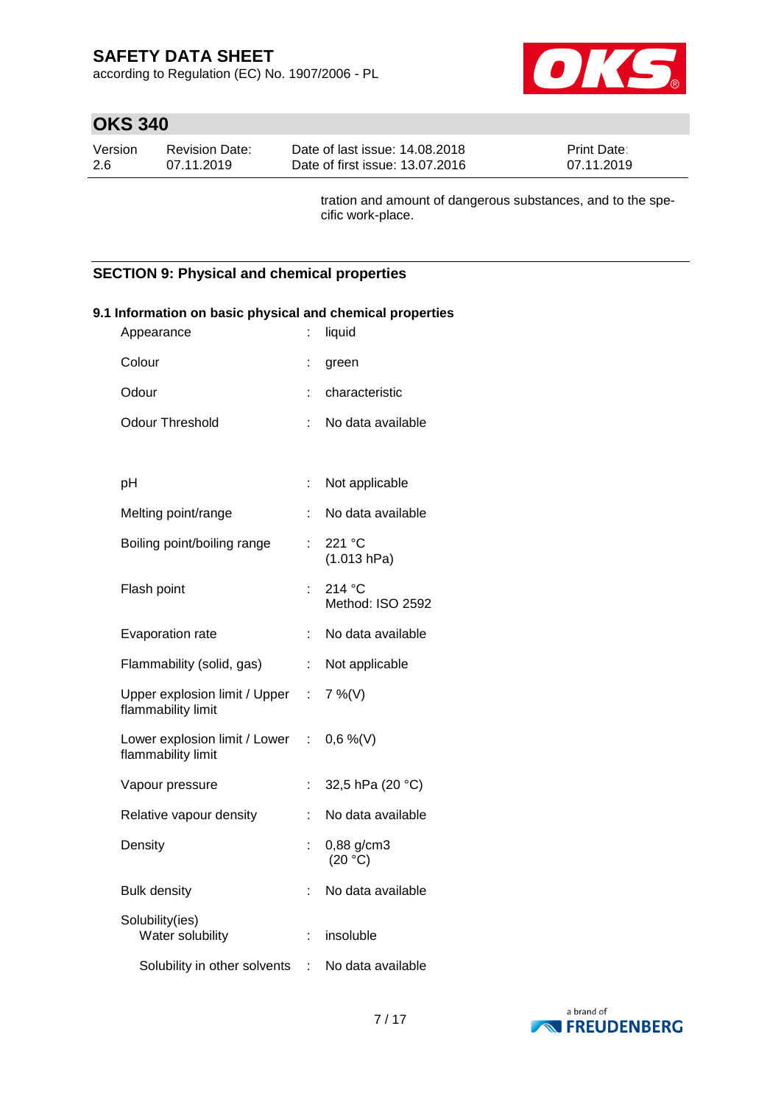according to Regulation (EC) No. 1907/2006 - PL



# **OKS 340**

| Version | <b>Revision Date:</b> | Date of last issue: 14.08.2018  | <b>Print Date:</b> |
|---------|-----------------------|---------------------------------|--------------------|
| 2.6     | 07.11.2019            | Date of first issue: 13.07.2016 | 07.11.2019         |

tration and amount of dangerous substances, and to the specific work-place.

### **SECTION 9: Physical and chemical properties**

| Appearance                                                     | t.                        | liquid                     |
|----------------------------------------------------------------|---------------------------|----------------------------|
| Colour                                                         | ÷                         | green                      |
| Odour                                                          | ÷                         | characteristic             |
| <b>Odour Threshold</b>                                         |                           | No data available          |
|                                                                |                           |                            |
| pH                                                             | t,                        | Not applicable             |
| Melting point/range                                            | t.                        | No data available          |
| Boiling point/boiling range                                    | t.                        | 221 °C<br>(1.013 hPa)      |
| Flash point                                                    | ÷.                        | 214 °C<br>Method: ISO 2592 |
| Evaporation rate                                               | t,                        | No data available          |
| Flammability (solid, gas)                                      | $\mathbb{Z}^{\mathbb{Z}}$ | Not applicable             |
| Upper explosion limit / Upper : 7 %(V)<br>flammability limit   |                           |                            |
| Lower explosion limit / Lower : 0,6 %(V)<br>flammability limit |                           |                            |
| Vapour pressure                                                | t.                        | 32,5 hPa (20 °C)           |
| Relative vapour density                                        | ÷                         | No data available          |
| Density                                                        | t                         | 0,88 g/cm3<br>(20 °C)      |
| <b>Bulk density</b>                                            | t.                        | No data available          |
| Solubility(ies)<br>Water solubility                            | t.                        | insoluble                  |
| Solubility in other solvents                                   | ÷                         | No data available          |

## **9.1 Information on basic physical and chemical properties**

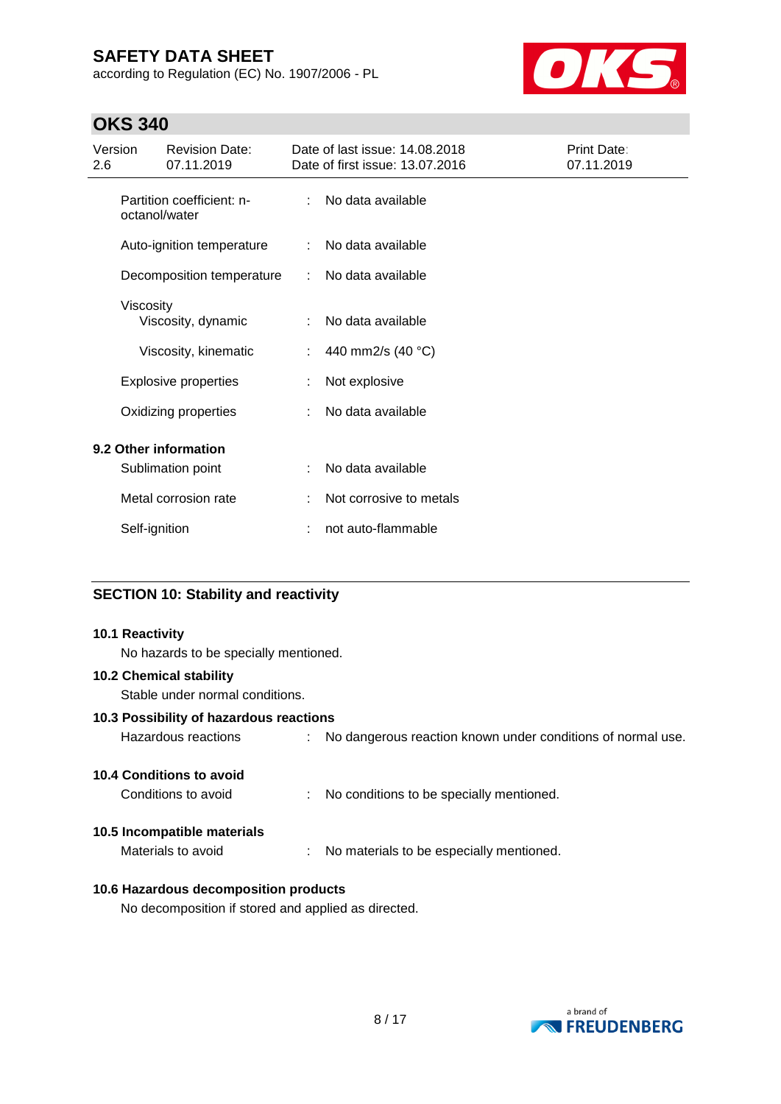according to Regulation (EC) No. 1907/2006 - PL



## **OKS 340**

| Version<br>2.6 |               | <b>Revision Date:</b><br>07.11.2019        |    | Date of last issue: 14.08.2018<br>Date of first issue: 13.07.2016 | Print Date:<br>07.11.2019 |
|----------------|---------------|--------------------------------------------|----|-------------------------------------------------------------------|---------------------------|
|                |               | Partition coefficient: n-<br>octanol/water |    | No data available                                                 |                           |
|                |               | Auto-ignition temperature                  | ÷. | No data available                                                 |                           |
|                |               | Decomposition temperature                  | ÷  | No data available                                                 |                           |
|                | Viscosity     | Viscosity, dynamic                         |    | No data available                                                 |                           |
|                |               | Viscosity, kinematic                       | ÷. | 440 mm2/s (40 °C)                                                 |                           |
|                |               | <b>Explosive properties</b>                |    | Not explosive                                                     |                           |
|                |               | Oxidizing properties                       |    | No data available                                                 |                           |
|                |               | 9.2 Other information                      |    |                                                                   |                           |
|                |               | Sublimation point                          | ÷  | No data available                                                 |                           |
|                |               | Metal corrosion rate                       |    | Not corrosive to metals                                           |                           |
|                | Self-ignition |                                            |    | not auto-flammable                                                |                           |

### **SECTION 10: Stability and reactivity**

#### **10.1 Reactivity**

No hazards to be specially mentioned.

### **10.2 Chemical stability**

Stable under normal conditions.

#### **10.3 Possibility of hazardous reactions**

| Hazardous reactions |  | No dangerous reaction known under conditions of normal use. |
|---------------------|--|-------------------------------------------------------------|
|---------------------|--|-------------------------------------------------------------|

### **10.4 Conditions to avoid**

| Conditions to avoid |  | No conditions to be specially mentioned. |
|---------------------|--|------------------------------------------|
|---------------------|--|------------------------------------------|

#### **10.5 Incompatible materials**

Materials to avoid : No materials to be especially mentioned.

### **10.6 Hazardous decomposition products**

No decomposition if stored and applied as directed.

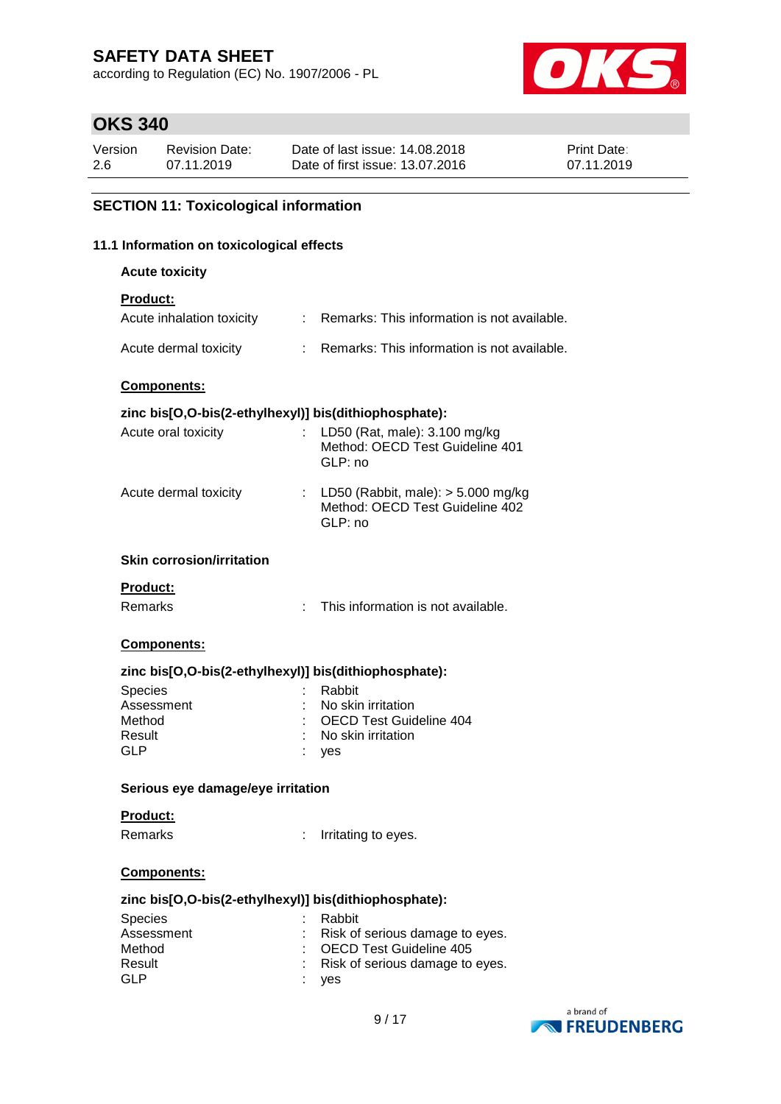according to Regulation (EC) No. 1907/2006 - PL



## **OKS 340**

| Version | <b>Revision Date:</b> | Date of last issue: 14.08.2018  | <b>Print Date:</b> |
|---------|-----------------------|---------------------------------|--------------------|
| 2.6     | 07.11.2019            | Date of first issue: 13.07.2016 | 07.11.2019         |

### **SECTION 11: Toxicological information**

#### **11.1 Information on toxicological effects**

**Acute toxicity**

### **Product:**

| Acute inhalation toxicity | Remarks: This information is not available. |
|---------------------------|---------------------------------------------|
| Acute dermal toxicity     | Remarks: This information is not available. |

#### **Components:**

#### **zinc bis[O,O-bis(2-ethylhexyl)] bis(dithiophosphate):**

| Acute oral toxicity   | : LD50 (Rat, male): $3.100$ mg/kg<br>Method: OECD Test Guideline 401<br>GLP: no      |
|-----------------------|--------------------------------------------------------------------------------------|
| Acute dermal toxicity | : LD50 (Rabbit, male): $>$ 5.000 mg/kg<br>Method: OECD Test Guideline 402<br>GLP: no |

#### **Skin corrosion/irritation**

#### **Product:**

Remarks : This information is not available.

#### **Components:**

#### **zinc bis[O,O-bis(2-ethylhexyl)] bis(dithiophosphate):**

| <b>Species</b> | : Rabbit                        |
|----------------|---------------------------------|
| Assessment     | : No skin irritation            |
| Method         | : OECD Test Guideline 404       |
| Result         | $\therefore$ No skin irritation |
| GLP            | : yes                           |

#### **Serious eye damage/eye irritation**

#### **Product:**

Remarks : Irritating to eyes.

#### **Components:**

#### **zinc bis[O,O-bis(2-ethylhexyl)] bis(dithiophosphate):**

| <b>Species</b> | : Rabbit                          |
|----------------|-----------------------------------|
| Assessment     | : Risk of serious damage to eyes. |
| Method         | : OECD Test Guideline 405         |
| Result         | : Risk of serious damage to eyes. |
| GLP            | : yes                             |

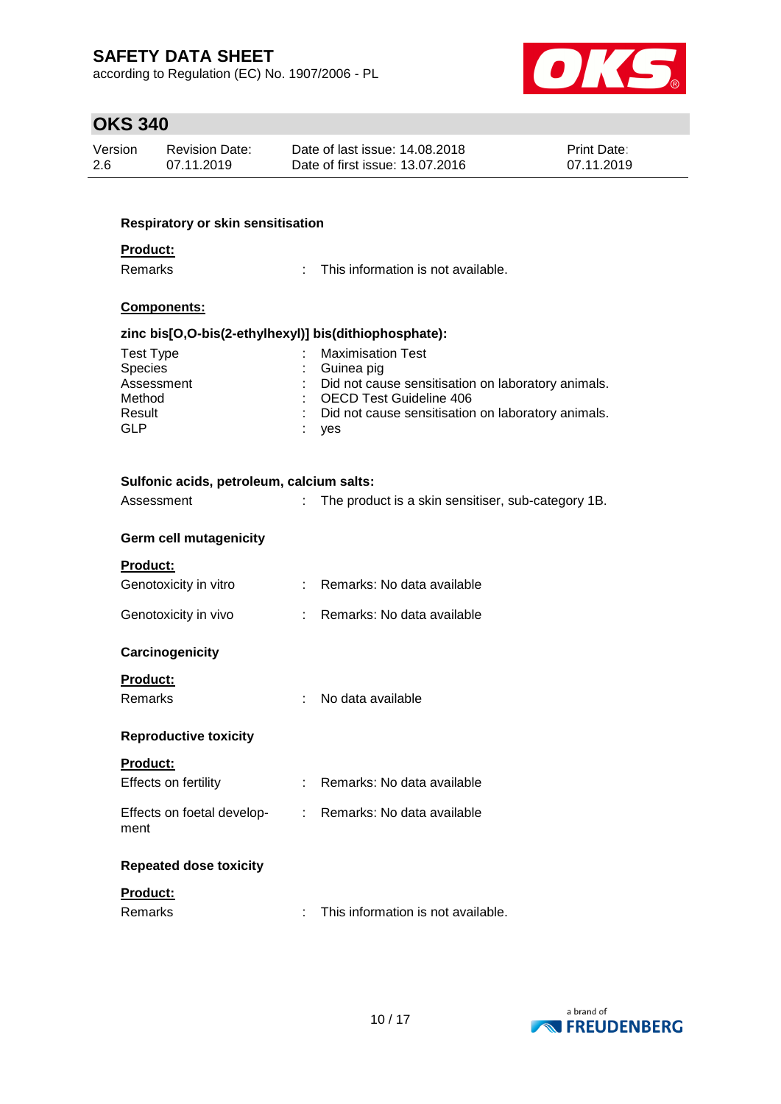according to Regulation (EC) No. 1907/2006 - PL



# **OKS 340**

| Version | Revision Date: | Date of last issue: 14.08.2018  | <b>Print Date:</b> |
|---------|----------------|---------------------------------|--------------------|
| 2.6     | 07.11.2019     | Date of first issue: 13.07.2016 | 07.11.2019         |

| Respiratory or skin sensitisation                               |                            |                                                                                      |
|-----------------------------------------------------------------|----------------------------|--------------------------------------------------------------------------------------|
| <b>Product:</b>                                                 |                            |                                                                                      |
| <b>Remarks</b>                                                  | t.                         | This information is not available.                                                   |
| Components:                                                     |                            |                                                                                      |
| zinc bis[O,O-bis(2-ethylhexyl)] bis(dithiophosphate):           |                            |                                                                                      |
| <b>Test Type</b>                                                |                            | <b>Maximisation Test</b>                                                             |
| Species                                                         |                            | Guinea pig                                                                           |
| Assessment<br>Method                                            |                            | Did not cause sensitisation on laboratory animals.<br><b>OECD Test Guideline 406</b> |
| Result                                                          |                            | Did not cause sensitisation on laboratory animals.                                   |
| <b>GLP</b>                                                      |                            | yes                                                                                  |
| Sulfonic acids, petroleum, calcium salts:                       |                            |                                                                                      |
| Assessment                                                      | $\mathbb{R}^{\mathbb{Z}}$  | The product is a skin sensitiser, sub-category 1B.                                   |
|                                                                 |                            |                                                                                      |
| <b>Germ cell mutagenicity</b>                                   |                            |                                                                                      |
| Product:                                                        |                            |                                                                                      |
| Genotoxicity in vitro                                           |                            | Remarks: No data available                                                           |
| Genotoxicity in vivo                                            |                            | Remarks: No data available                                                           |
| Carcinogenicity                                                 |                            |                                                                                      |
| <b>Product:</b>                                                 |                            |                                                                                      |
| <b>Remarks</b>                                                  | ÷.                         | No data available                                                                    |
| <b>Reproductive toxicity</b>                                    |                            |                                                                                      |
| <b>Product:</b>                                                 |                            |                                                                                      |
| Effects on fertility                                            | $\mathcal{L}^{\text{max}}$ | Remarks: No data available                                                           |
| Effects on foetal develop- : Remarks: No data available<br>ment |                            |                                                                                      |
| <b>Repeated dose toxicity</b>                                   |                            |                                                                                      |
| Product:                                                        |                            |                                                                                      |
| Remarks                                                         |                            | This information is not available.                                                   |

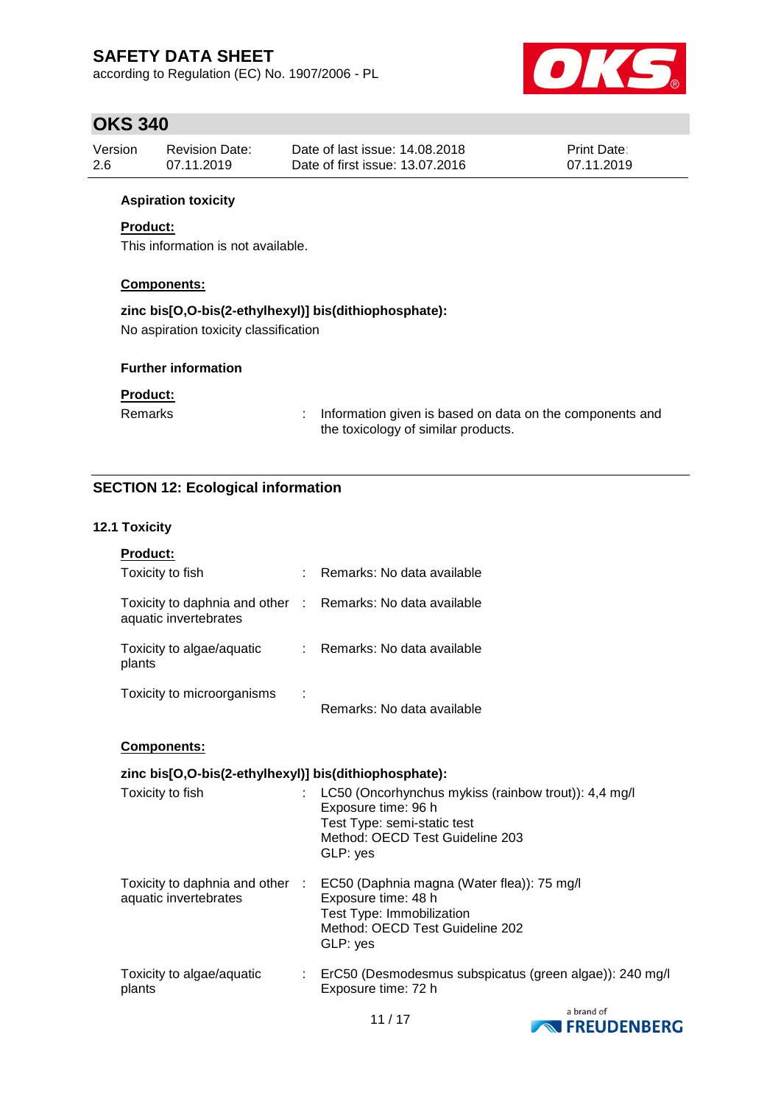according to Regulation (EC) No. 1907/2006 - PL



## **OKS 340**

| Version | <b>Revision Date:</b> | Date of last issue: 14.08.2018  | <b>Print Date:</b> |
|---------|-----------------------|---------------------------------|--------------------|
| -2.6    | 07.11.2019            | Date of first issue: 13.07.2016 | 07.11.2019         |

### **Aspiration toxicity**

### **Product:**

This information is not available.

### **Components:**

### **zinc bis[O,O-bis(2-ethylhexyl)] bis(dithiophosphate):**

No aspiration toxicity classification

#### **Further information**

### **Product:**

Remarks : Information given is based on data on the components and the toxicology of similar products.

### **SECTION 12: Ecological information**

#### **12.1 Toxicity**

| <b>Product:</b>                                          |   |                            |
|----------------------------------------------------------|---|----------------------------|
| Toxicity to fish                                         | ٠ | Remarks: No data available |
| Toxicity to daphnia and other :<br>aquatic invertebrates |   | Remarks: No data available |
| Toxicity to algae/aquatic<br>plants                      |   | Remarks: No data available |
| Toxicity to microorganisms                               | ÷ | Remarks: No data available |

#### **Components:**

### **zinc bis[O,O-bis(2-ethylhexyl)] bis(dithiophosphate):**

| Toxicity to fish                                         | : LC50 (Oncorhynchus mykiss (rainbow trout)): 4,4 mg/l<br>Exposure time: 96 h<br>Test Type: semi-static test<br>Method: OECD Test Guideline 203<br>GLP: yes |
|----------------------------------------------------------|-------------------------------------------------------------------------------------------------------------------------------------------------------------|
| Toxicity to daphnia and other :<br>aquatic invertebrates | EC50 (Daphnia magna (Water flea)): 75 mg/l<br>Exposure time: 48 h<br>Test Type: Immobilization<br>Method: OECD Test Guideline 202<br>GLP: yes               |
| Toxicity to algae/aquatic<br>plants                      | : ErC50 (Desmodesmus subspicatus (green algae)): 240 mg/l<br>Exposure time: 72 h                                                                            |



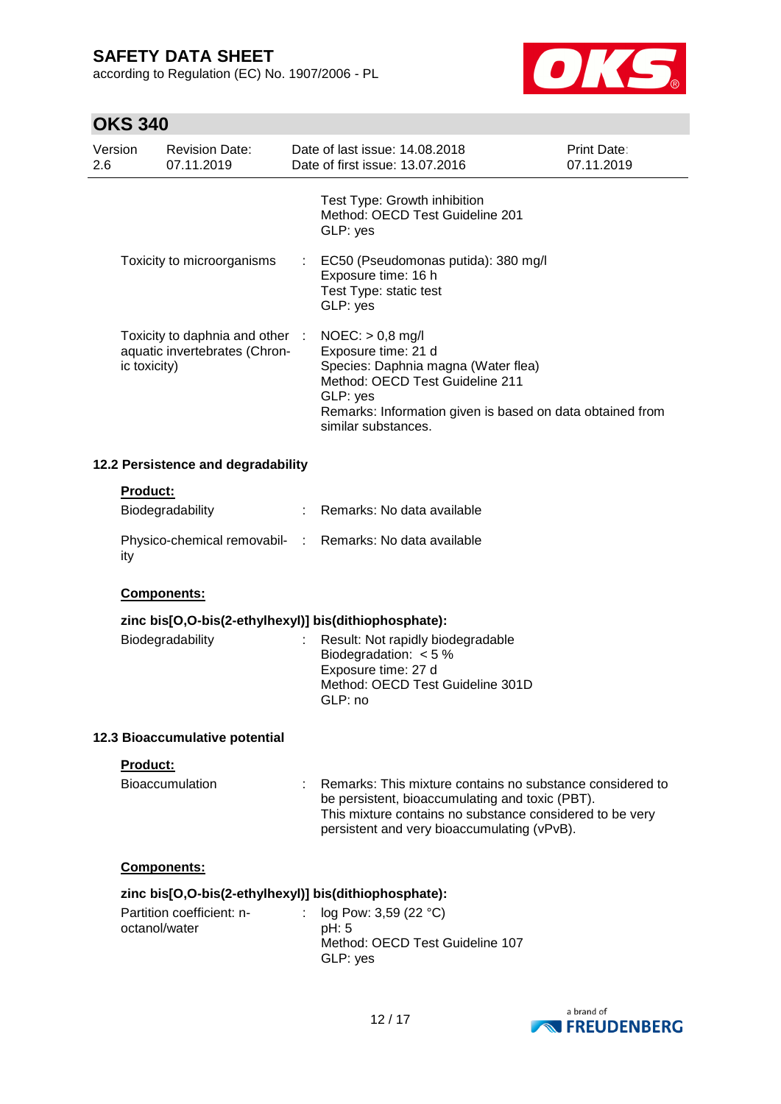according to Regulation (EC) No. 1907/2006 - PL



# **OKS 340**

| טדט טוע                                                                          |                                            |                                     |                                                                                                                                                                                                                     |                                                                                                                                                                                                                         |                           |
|----------------------------------------------------------------------------------|--------------------------------------------|-------------------------------------|---------------------------------------------------------------------------------------------------------------------------------------------------------------------------------------------------------------------|-------------------------------------------------------------------------------------------------------------------------------------------------------------------------------------------------------------------------|---------------------------|
| Version<br>2.6                                                                   |                                            | <b>Revision Date:</b><br>07.11.2019 |                                                                                                                                                                                                                     | Date of last issue: 14.08.2018<br>Date of first issue: 13.07.2016                                                                                                                                                       | Print Date:<br>07.11.2019 |
|                                                                                  |                                            |                                     |                                                                                                                                                                                                                     | Test Type: Growth inhibition<br>Method: OECD Test Guideline 201<br>GLP: yes                                                                                                                                             |                           |
|                                                                                  |                                            | Toxicity to microorganisms          |                                                                                                                                                                                                                     | EC50 (Pseudomonas putida): 380 mg/l<br>Exposure time: 16 h<br>Test Type: static test<br>GLP: yes                                                                                                                        |                           |
| Toxicity to daphnia and other :<br>aquatic invertebrates (Chron-<br>ic toxicity) |                                            |                                     | $NOEC:$ > 0,8 mg/l<br>Exposure time: 21 d<br>Species: Daphnia magna (Water flea)<br>Method: OECD Test Guideline 211<br>GLP: yes<br>Remarks: Information given is based on data obtained from<br>similar substances. |                                                                                                                                                                                                                         |                           |
|                                                                                  |                                            | 12.2 Persistence and degradability  |                                                                                                                                                                                                                     |                                                                                                                                                                                                                         |                           |
|                                                                                  | <b>Product:</b>                            | Biodegradability                    | $\mathcal{L}^{\text{max}}$                                                                                                                                                                                          | Remarks: No data available                                                                                                                                                                                              |                           |
|                                                                                  | ity                                        |                                     |                                                                                                                                                                                                                     | Physico-chemical removabil- : Remarks: No data available                                                                                                                                                                |                           |
|                                                                                  |                                            | Components:                         |                                                                                                                                                                                                                     |                                                                                                                                                                                                                         |                           |
|                                                                                  |                                            |                                     |                                                                                                                                                                                                                     | zinc bis[O,O-bis(2-ethylhexyl)] bis(dithiophosphate):                                                                                                                                                                   |                           |
|                                                                                  |                                            | Biodegradability                    |                                                                                                                                                                                                                     | Result: Not rapidly biodegradable<br>Biodegradation: $< 5 %$<br>Exposure time: 27 d<br>Method: OECD Test Guideline 301D<br>GLP: no                                                                                      |                           |
|                                                                                  |                                            | 12.3 Bioaccumulative potential      |                                                                                                                                                                                                                     |                                                                                                                                                                                                                         |                           |
|                                                                                  | Product:                                   |                                     |                                                                                                                                                                                                                     |                                                                                                                                                                                                                         |                           |
|                                                                                  |                                            | <b>Bioaccumulation</b>              |                                                                                                                                                                                                                     | Remarks: This mixture contains no substance considered to<br>be persistent, bioaccumulating and toxic (PBT).<br>This mixture contains no substance considered to be very<br>persistent and very bioaccumulating (vPvB). |                           |
|                                                                                  |                                            | Components:                         |                                                                                                                                                                                                                     |                                                                                                                                                                                                                         |                           |
|                                                                                  |                                            |                                     |                                                                                                                                                                                                                     | zinc bis[O,O-bis(2-ethylhexyl)] bis(dithiophosphate):                                                                                                                                                                   |                           |
|                                                                                  | Partition coefficient: n-<br>octanol/water |                                     |                                                                                                                                                                                                                     | log Pow: 3,59 (22 °C)<br>pH: 5<br>Method: OECD Test Guideline 107<br>GLP: yes                                                                                                                                           |                           |
|                                                                                  |                                            |                                     |                                                                                                                                                                                                                     | 1 n 1 1 7                                                                                                                                                                                                               | a brand of                |
|                                                                                  |                                            |                                     |                                                                                                                                                                                                                     |                                                                                                                                                                                                                         |                           |

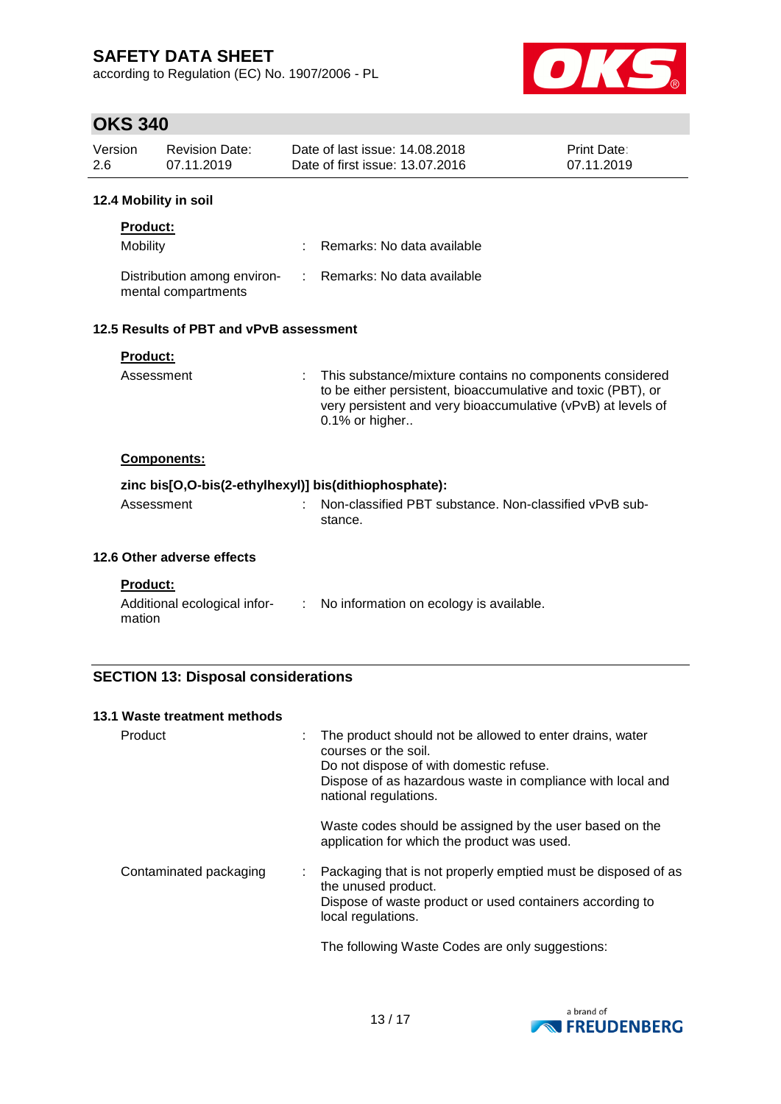according to Regulation (EC) No. 1907/2006 - PL



## **OKS 340**

| Version<br>2.6 | <b>Revision Date:</b><br>07.11.2019                |                             | Date of last issue: 14,08,2018<br>Date of first issue: 13.07.2016                                                                                                                                          | Print Date:<br>07.11.2019 |  |  |  |
|----------------|----------------------------------------------------|-----------------------------|------------------------------------------------------------------------------------------------------------------------------------------------------------------------------------------------------------|---------------------------|--|--|--|
|                | 12.4 Mobility in soil                              |                             |                                                                                                                                                                                                            |                           |  |  |  |
|                | <b>Product:</b>                                    |                             |                                                                                                                                                                                                            |                           |  |  |  |
|                | Mobility                                           |                             | Remarks: No data available                                                                                                                                                                                 |                           |  |  |  |
|                | Distribution among environ-<br>mental compartments | $\mathcal{D}^{\mathcal{A}}$ | Remarks: No data available                                                                                                                                                                                 |                           |  |  |  |
|                | 12.5 Results of PBT and vPvB assessment            |                             |                                                                                                                                                                                                            |                           |  |  |  |
|                | <b>Product:</b>                                    |                             |                                                                                                                                                                                                            |                           |  |  |  |
|                | Assessment                                         |                             | This substance/mixture contains no components considered<br>to be either persistent, bioaccumulative and toxic (PBT), or<br>very persistent and very bioaccumulative (vPvB) at levels of<br>0.1% or higher |                           |  |  |  |
|                | <b>Components:</b>                                 |                             |                                                                                                                                                                                                            |                           |  |  |  |
|                |                                                    |                             | zinc bis[O,O-bis(2-ethylhexyl)] bis(dithiophosphate):                                                                                                                                                      |                           |  |  |  |
|                | Assessment                                         |                             | Non-classified PBT substance. Non-classified vPvB sub-<br>stance.                                                                                                                                          |                           |  |  |  |
|                | 12.6 Other adverse effects                         |                             |                                                                                                                                                                                                            |                           |  |  |  |
|                | <b>Product:</b>                                    |                             |                                                                                                                                                                                                            |                           |  |  |  |

| Additional ecological infor- | No information on ecology is available. |
|------------------------------|-----------------------------------------|
| mation                       |                                         |

### **SECTION 13: Disposal considerations**

| 13.1 Waste treatment methods |                                                                                                                                                                                                                    |
|------------------------------|--------------------------------------------------------------------------------------------------------------------------------------------------------------------------------------------------------------------|
| Product                      | The product should not be allowed to enter drains, water<br>courses or the soil.<br>Do not dispose of with domestic refuse.<br>Dispose of as hazardous waste in compliance with local and<br>national regulations. |
|                              | Waste codes should be assigned by the user based on the<br>application for which the product was used.                                                                                                             |
| Contaminated packaging       | Packaging that is not properly emptied must be disposed of as<br>the unused product.<br>Dispose of waste product or used containers according to<br>local regulations.                                             |
|                              | The following Waste Codes are only suggestions:                                                                                                                                                                    |

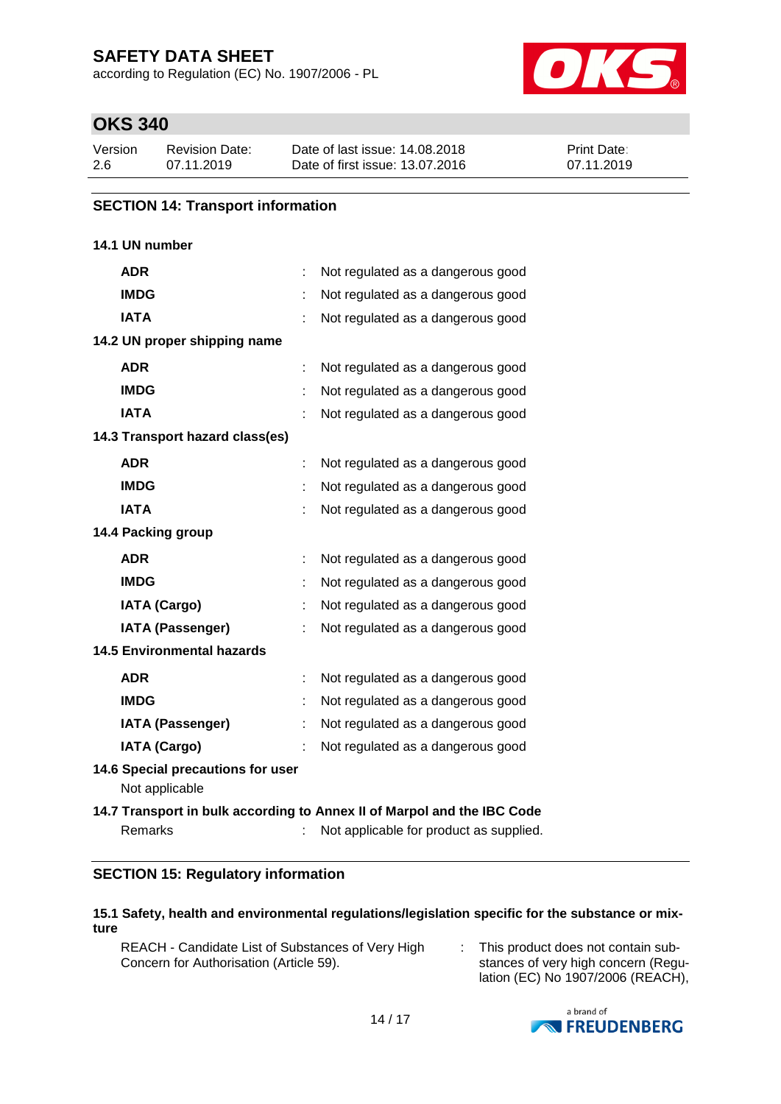according to Regulation (EC) No. 1907/2006 - PL



## **OKS 340**

| Version | Revision Date: | Date of last issue: 14.08.2018  | <b>Print Date:</b> |
|---------|----------------|---------------------------------|--------------------|
| 2.6     | 07.11.2019     | Date of first issue: 13.07.2016 | 07.11.2019         |

### **SECTION 14: Transport information**

### **14.1 UN number**

| <b>ADR</b>                                          |   | Not regulated as a dangerous good                                                                                  |
|-----------------------------------------------------|---|--------------------------------------------------------------------------------------------------------------------|
| <b>IMDG</b>                                         |   | Not regulated as a dangerous good                                                                                  |
| <b>IATA</b>                                         |   | Not regulated as a dangerous good                                                                                  |
| 14.2 UN proper shipping name                        |   |                                                                                                                    |
| <b>ADR</b>                                          |   | Not regulated as a dangerous good                                                                                  |
| <b>IMDG</b>                                         |   | Not regulated as a dangerous good                                                                                  |
| <b>IATA</b>                                         |   | Not regulated as a dangerous good                                                                                  |
| 14.3 Transport hazard class(es)                     |   |                                                                                                                    |
| <b>ADR</b>                                          |   | Not regulated as a dangerous good                                                                                  |
| <b>IMDG</b>                                         |   | Not regulated as a dangerous good                                                                                  |
| <b>IATA</b>                                         |   | Not regulated as a dangerous good                                                                                  |
| 14.4 Packing group                                  |   |                                                                                                                    |
| <b>ADR</b>                                          | ÷ | Not regulated as a dangerous good                                                                                  |
| <b>IMDG</b>                                         |   | Not regulated as a dangerous good                                                                                  |
| <b>IATA (Cargo)</b>                                 |   | Not regulated as a dangerous good                                                                                  |
| <b>IATA (Passenger)</b>                             |   | Not regulated as a dangerous good                                                                                  |
| <b>14.5 Environmental hazards</b>                   |   |                                                                                                                    |
| <b>ADR</b>                                          |   | Not regulated as a dangerous good                                                                                  |
| <b>IMDG</b>                                         |   | Not regulated as a dangerous good                                                                                  |
| <b>IATA (Passenger)</b>                             |   | Not regulated as a dangerous good                                                                                  |
| <b>IATA (Cargo)</b>                                 |   | Not regulated as a dangerous good                                                                                  |
| 14.6 Special precautions for user<br>Not applicable |   |                                                                                                                    |
| Remarks                                             |   | 14.7 Transport in bulk according to Annex II of Marpol and the IBC Code<br>Not applicable for product as supplied. |

### **SECTION 15: Regulatory information**

#### **15.1 Safety, health and environmental regulations/legislation specific for the substance or mixture**

REACH - Candidate List of Substances of Very High Concern for Authorisation (Article 59).

: This product does not contain substances of very high concern (Regulation (EC) No 1907/2006 (REACH),

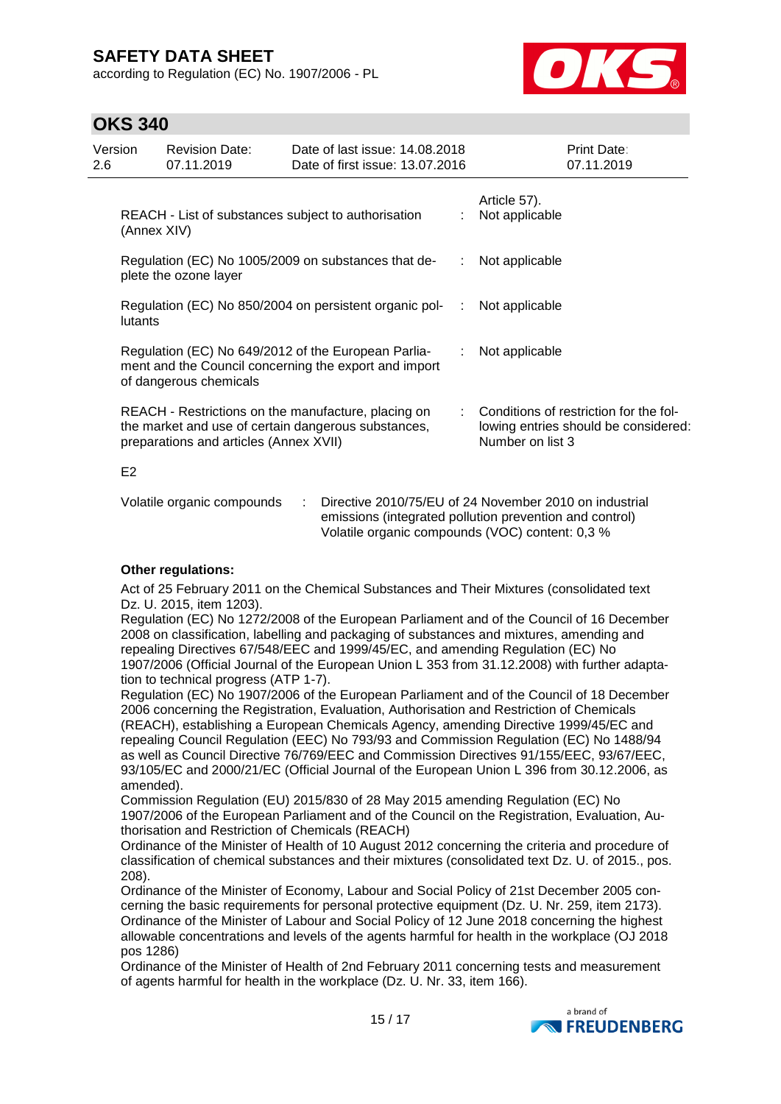according to Regulation (EC) No. 1907/2006 - PL



## **OKS 340**

| Version<br>2.6 |                | <b>Revision Date:</b><br>07.11.2019                                                                                                                  | Date of last issue: 14,08,2018<br>Date of first issue: 13.07.2016 |   | Print Date:<br>07.11.2019                                                                          |
|----------------|----------------|------------------------------------------------------------------------------------------------------------------------------------------------------|-------------------------------------------------------------------|---|----------------------------------------------------------------------------------------------------|
|                | (Annex XIV)    | REACH - List of substances subject to authorisation                                                                                                  |                                                                   |   | Article 57).<br>Not applicable                                                                     |
|                |                | plete the ozone layer                                                                                                                                | Regulation (EC) No 1005/2009 on substances that de-               | ÷ | Not applicable                                                                                     |
|                | lutants        |                                                                                                                                                      | Regulation (EC) No 850/2004 on persistent organic pol-<br>:       |   | Not applicable                                                                                     |
|                |                | Regulation (EC) No 649/2012 of the European Parlia-<br>of dangerous chemicals                                                                        | ment and the Council concerning the export and import             | ÷ | Not applicable                                                                                     |
|                |                | REACH - Restrictions on the manufacture, placing on<br>the market and use of certain dangerous substances,<br>preparations and articles (Annex XVII) |                                                                   |   | Conditions of restriction for the fol-<br>lowing entries should be considered:<br>Number on list 3 |
|                | E <sub>2</sub> |                                                                                                                                                      |                                                                   |   |                                                                                                    |
|                |                | Volatile organic compounds                                                                                                                           |                                                                   |   | Directive 2010/75/EU of 24 November 2010 on industrial                                             |

#### **Other regulations:**

Act of 25 February 2011 on the Chemical Substances and Their Mixtures (consolidated text Dz. U. 2015, item 1203).

emissions (integrated pollution prevention and control) Volatile organic compounds (VOC) content: 0,3 %

Regulation (EC) No 1272/2008 of the European Parliament and of the Council of 16 December 2008 on classification, labelling and packaging of substances and mixtures, amending and repealing Directives 67/548/EEC and 1999/45/EC, and amending Regulation (EC) No 1907/2006 (Official Journal of the European Union L 353 from 31.12.2008) with further adaptation to technical progress (ATP 1-7).

Regulation (EC) No 1907/2006 of the European Parliament and of the Council of 18 December 2006 concerning the Registration, Evaluation, Authorisation and Restriction of Chemicals (REACH), establishing a European Chemicals Agency, amending Directive 1999/45/EC and repealing Council Regulation (EEC) No 793/93 and Commission Regulation (EC) No 1488/94 as well as Council Directive 76/769/EEC and Commission Directives 91/155/EEC, 93/67/EEC, 93/105/EC and 2000/21/EC (Official Journal of the European Union L 396 from 30.12.2006, as amended).

Commission Regulation (EU) 2015/830 of 28 May 2015 amending Regulation (EC) No 1907/2006 of the European Parliament and of the Council on the Registration, Evaluation, Authorisation and Restriction of Chemicals (REACH)

Ordinance of the Minister of Health of 10 August 2012 concerning the criteria and procedure of classification of chemical substances and their mixtures (consolidated text Dz. U. of 2015., pos. 208).

Ordinance of the Minister of Economy, Labour and Social Policy of 21st December 2005 concerning the basic requirements for personal protective equipment (Dz. U. Nr. 259, item 2173). Ordinance of the Minister of Labour and Social Policy of 12 June 2018 concerning the highest allowable concentrations and levels of the agents harmful for health in the workplace (OJ 2018 pos 1286)

Ordinance of the Minister of Health of 2nd February 2011 concerning tests and measurement of agents harmful for health in the workplace (Dz. U. Nr. 33, item 166).

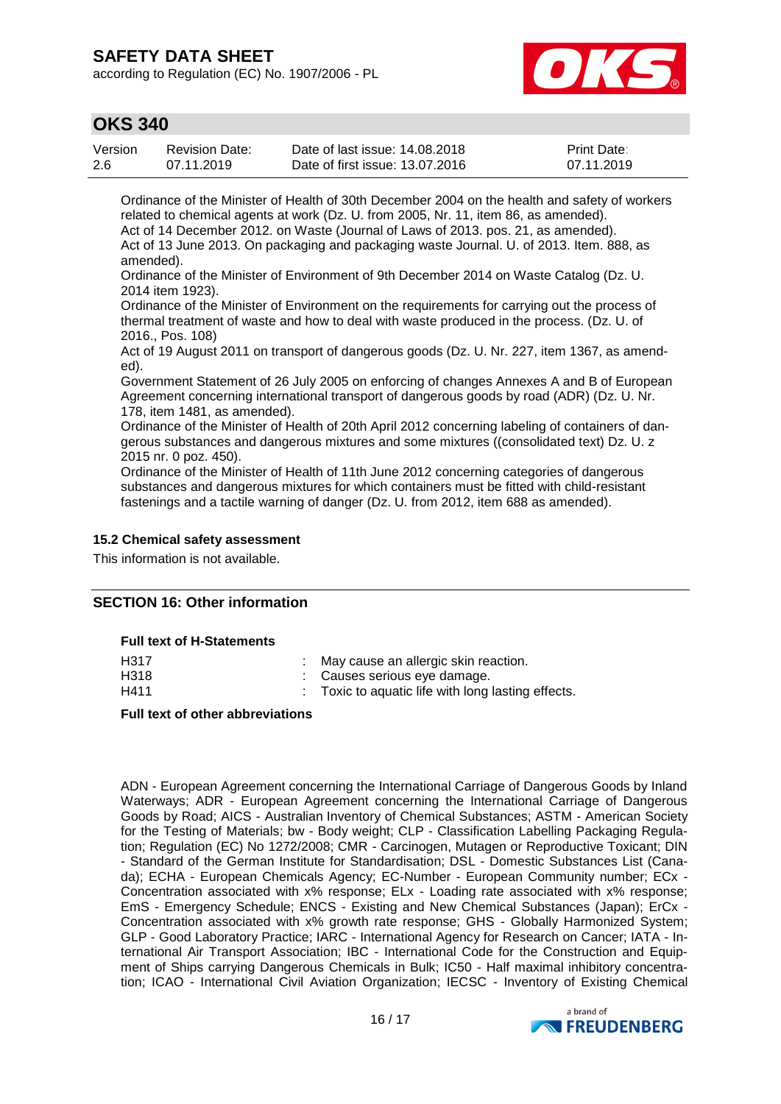according to Regulation (EC) No. 1907/2006 - PL



### **OKS 340**

| Version | Revision Date: | Date of last issue: 14,08,2018  | <b>Print Date:</b> |
|---------|----------------|---------------------------------|--------------------|
| -2.6    | 07.11.2019     | Date of first issue: 13.07.2016 | 07.11.2019         |

Ordinance of the Minister of Health of 30th December 2004 on the health and safety of workers related to chemical agents at work (Dz. U. from 2005, Nr. 11, item 86, as amended). Act of 14 December 2012. on Waste (Journal of Laws of 2013. pos. 21, as amended). Act of 13 June 2013. On packaging and packaging waste Journal. U. of 2013. Item. 888, as amended).

Ordinance of the Minister of Environment of 9th December 2014 on Waste Catalog (Dz. U. 2014 item 1923).

Ordinance of the Minister of Environment on the requirements for carrying out the process of thermal treatment of waste and how to deal with waste produced in the process. (Dz. U. of 2016., Pos. 108)

Act of 19 August 2011 on transport of dangerous goods (Dz. U. Nr. 227, item 1367, as amended).

Government Statement of 26 July 2005 on enforcing of changes Annexes A and B of European Agreement concerning international transport of dangerous goods by road (ADR) (Dz. U. Nr. 178, item 1481, as amended).

Ordinance of the Minister of Health of 20th April 2012 concerning labeling of containers of dangerous substances and dangerous mixtures and some mixtures ((consolidated text) Dz. U. z 2015 nr. 0 poz. 450).

Ordinance of the Minister of Health of 11th June 2012 concerning categories of dangerous substances and dangerous mixtures for which containers must be fitted with child-resistant fastenings and a tactile warning of danger (Dz. U. from 2012, item 688 as amended).

#### **15.2 Chemical safety assessment**

This information is not available.

### **SECTION 16: Other information**

#### **Full text of H-Statements**

| H <sub>3</sub> 17 | : May cause an allergic skin reaction.           |
|-------------------|--------------------------------------------------|
| H318              | : Causes serious eve damage.                     |
| H411              | Toxic to aquatic life with long lasting effects. |

#### **Full text of other abbreviations**

ADN - European Agreement concerning the International Carriage of Dangerous Goods by Inland Waterways; ADR - European Agreement concerning the International Carriage of Dangerous Goods by Road; AICS - Australian Inventory of Chemical Substances; ASTM - American Society for the Testing of Materials; bw - Body weight; CLP - Classification Labelling Packaging Regulation; Regulation (EC) No 1272/2008; CMR - Carcinogen, Mutagen or Reproductive Toxicant; DIN - Standard of the German Institute for Standardisation; DSL - Domestic Substances List (Canada); ECHA - European Chemicals Agency; EC-Number - European Community number; ECx - Concentration associated with x% response; ELx - Loading rate associated with x% response; EmS - Emergency Schedule; ENCS - Existing and New Chemical Substances (Japan); ErCx - Concentration associated with x% growth rate response; GHS - Globally Harmonized System; GLP - Good Laboratory Practice; IARC - International Agency for Research on Cancer; IATA - International Air Transport Association; IBC - International Code for the Construction and Equipment of Ships carrying Dangerous Chemicals in Bulk; IC50 - Half maximal inhibitory concentration; ICAO - International Civil Aviation Organization; IECSC - Inventory of Existing Chemical